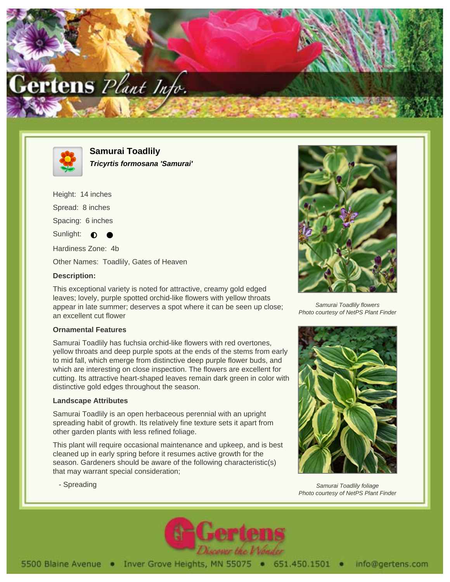



**Samurai Toadlily Tricyrtis formosana 'Samurai'**

Height: 14 inches Spread: 8 inches

Spacing: 6 inches

Sunlight:  $\bullet$ 

Hardiness Zone: 4b

Other Names: Toadlily, Gates of Heaven

## **Description:**

This exceptional variety is noted for attractive, creamy gold edged leaves; lovely, purple spotted orchid-like flowers with yellow throats appear in late summer; deserves a spot where it can be seen up close; an excellent cut flower

## **Ornamental Features**

Samurai Toadlily has fuchsia orchid-like flowers with red overtones, yellow throats and deep purple spots at the ends of the stems from early to mid fall, which emerge from distinctive deep purple flower buds, and which are interesting on close inspection. The flowers are excellent for cutting. Its attractive heart-shaped leaves remain dark green in color with distinctive gold edges throughout the season.

## **Landscape Attributes**

- Spreading

Samurai Toadlily is an open herbaceous perennial with an upright spreading habit of growth. Its relatively fine texture sets it apart from other garden plants with less refined foliage.

This plant will require occasional maintenance and upkeep, and is best cleaned up in early spring before it resumes active growth for the season. Gardeners should be aware of the following characteristic(s) that may warrant special consideration;



Samurai Toadlily flowers Photo courtesy of NetPS Plant Finder



Samurai Toadlily foliage Photo courtesy of NetPS Plant Finder